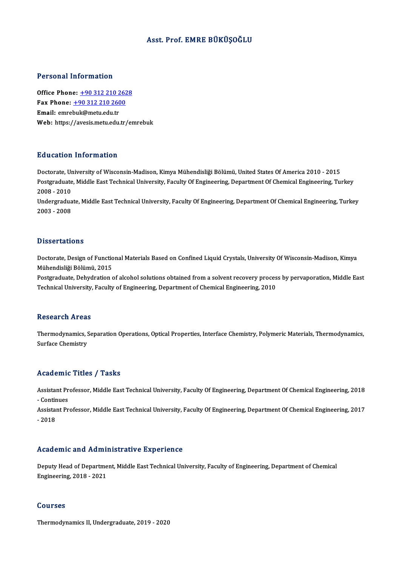## Asst. Prof. EMRE BÜKÜŞOĞLU

#### Personal Information

**Personal Information<br>Office Phone: +90 312 210 2628**<br>Fax Phone: +90 312 210 2600 Fax Phone: <u>+90 312 210 262</u><br>Fax Phone: <u>+90 312 210 2600</u><br>Fmail: emrebul:@matu.edu.tr Office Phone: <u>+90 312 210 260</u><br>Fax Phone: <u>+90 312 210 260</u><br>Email: emre[buk@metu.edu.tr](tel:+90 312 210 2600) Fax Phone:  $\pm$ 90 312 210 2600<br>Email: emrebuk@metu.edu.tr<br>Web: https://avesis.metu.edu.tr/emrebuk

#### Education Information

Education Information<br>Doctorate, University of Wisconsin-Madison, Kimya Mühendisliği Bölümü, United States Of America 2010 - 2015<br>Postsraduate Middle Fast Technical University, Feculty Of Engineering, Denartment Of Chemica Pu u outron Thron Intution<br>Doctorate, University of Wisconsin-Madison, Kimya Mühendisliği Bölümü, United States Of America 2010 - 2015<br>Postgraduate, Middle East Technical University, Faculty Of Engineering, Department Of C Doctorate, Ur<br>Postgraduate<br>2008 - 2010<br>Undergradue Postgraduate, Middle East Technical University, Faculty Of Engineering, Department Of Chemical Engineering, Turkey<br>2008 - 2010<br>Undergraduate, Middle East Technical University, Faculty Of Engineering, Department Of Chemical

2008 - 2010<br>Undergraduate, Middle East Technical University, Faculty Of Engineering, Department Of Chemical Engineering, Turkey<br>2003 - 2008

#### **Dissertations**

Dissertations<br>Doctorate, Design of Functional Materials Based on Confined Liquid Crystals, University Of Wisconsin-Madison, Kimya<br>Mühandisliği Bölümü, 2015 *Basser* darions<br>Doctorate, Design of Functio<br>Mühendisliği Bölümü, 2015<br>Postanaduate, Debydration Doctorate, Design of Functional Materials Based on Confined Liquid Crystals, University Of Wisconsin-Madison, Kimya<br>Mühendisliği Bölümü, 2015<br>Postgraduate, Dehydration of alcohol solutions obtained from a solvent recovery

Mühendisliği Bölümü, 2015<br>Postgraduate, Dehydration of alcohol solutions obtained from a solvent recovery proces<br>Technical University, Faculty of Engineering, Department of Chemical Engineering, 2010 Technical University, Faculty of Engineering, Department of Chemical Engineering, 2010<br>Research Areas

Research Areas<br>Thermodynamics, Separation Operations, Optical Properties, Interface Chemistry, Polymeric Materials, Thermodynamics,<br>Surface Chemistry Tebout on the call<br>Thermodynamics, Surface Chemistry

# Surface Chemistry<br>Academic Titles / Tasks

Academic Titles / Tasks<br>Assistant Professor, Middle East Technical University, Faculty Of Engineering, Department Of Chemical Engineering, 2018<br>Continues Assistant Pr<br>- Continues<br>- Continues Assistant Professor, Middle East Technical University, Faculty Of Engineering, Department Of Chemical Engineering, 2018<br>- Continues<br>Assistant Professor, Middle East Technical University, Faculty Of Engineering, Department

- Contir<br>Assistai<br>- 2018 Academic and Administrative Experience

Academic and Administrative Experience<br>Deputy Head of Department, Middle East Technical University, Faculty of Engineering, Department of Chemical<br>Engineering, 2018, 2021 Engineering, 2018 -2021<br>Engineering, 2018 - 2021 Engineering, 2018 - 2021<br>Courses

Thermodynamics II, Undergraduate, 2019 - 2020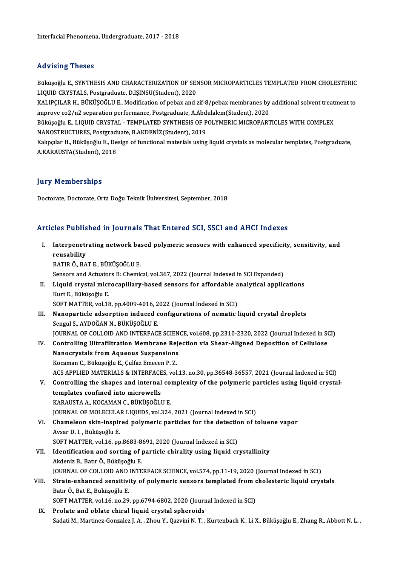## Advising Theses

Advising Theses<br>Büküşoğlu E., SYNTHESIS AND CHARACTERIZATION OF SENSOR MICROPARTICLES TEMPLATED FROM CHOLESTERIC<br>LIQUID CRYSTALS, Rostanaduato, D.ISINSU(Student), 2020 LIQUIDER LITOSOS<br>Büküşoğlu E., SYNTHESIS AND CHARACTERIZATION OF SEN<br>LIQUID CRYSTALS, Postgraduate, D.IŞINSU(Student), 2020<br>KALIBCU AB H., BÜKÜSOĞLU E. Modification of nahay and t Büküşoğlu E., SYNTHESIS AND CHARACTERIZATION OF SENSOR MICROPARTICLES TEMPLATED FROM CHOLESTERIC<br>LIQUID CRYSTALS, Postgraduate, D.IŞINSU(Student), 2020<br>KALIPÇILAR H., BÜKÜŞOĞLU E., Modification of pebax and zif-8/pebax mem

LIQUID CRYSTALS, Postgraduate, D.IŞINSU(Student), 2020<br>KALIPÇILAR H., BÜKÜŞOĞLU E., Modification of pebax and zif-8/pebax membranes by<br>improve co2/n2 separation performance, Postgraduate, A.Abdulalem(Student), 2020<br>Büküsoğ KALIPÇILAR H., BÜKÜŞOĞLU E., Modification of pebax and zif-8/pebax membranes by additional solvent treat<br>improve co2/n2 separation performance, Postgraduate, A.Abdulalem(Student), 2020<br>Büküşoğlu E., LIQUID CRYSTAL - TEMPLA

improve co2/n2 separation performance, Postgraduate, A.Abdulalem(Student), 2020<br>Büküşoğlu E., LIQUID CRYSTAL - TEMPLATED SYNTHESIS OF POLYMERIC MICROPARTICLES WITH COMPLEX<br>NANOSTRUCTURES, Postgraduate, B.AKDENİZ(Student), Büküşoğlu E., LIQUID CRYSTAL - TEMPLATED SYNTHESIS OF POLYMERIC MICROPARTICLES WITH COMPLEX<br>NANOSTRUCTURES, Postgraduate, B.AKDENİZ(Student), 2019<br>Kalıpçılar H., Büküşoğlu E., Design of functional materials using liquid cr

NANOSTRUCTURES, Postgradı<br>Kalıpçılar H., Büküşoğlu E., De<br>A.KARAUSTA(Student), 2018 A.KARAUSTA(Student), 2018<br>Jury Memberships

Doctorate, Doctorate, Orta Doğu Teknik Üniversitesi, September, 2018

## Articles Published in Journals That Entered SCI, SSCI and AHCI Indexes

rticles Published in Journals That Entered SCI, SSCI and AHCI Indexes<br>I. Interpenetrating network based polymeric sensors with enhanced specificity, sensitivity, and<br>reusebility Interpenetr<br>Interpenetr<br>reusability<br>PATIP Ö-PA reusability<br>BATIR Ö., BAT E., BÜKÜŞOĞLU E. reusability<br>BATIR Ö., BAT E., BÜKÜŞOĞLU E.<br>Sensors and Actuators B: Chemical, vol.367, 2022 (Journal Indexed in SCI Expanded)<br>Liquid, erustal, microsapillaru, based sensors for affordable apolytisel applic

BATIR Ö., BAT E., BÜKÜŞOĞLU E.<br>Sensors and Actuators B: Chemical, vol.367, 2022 (Journal Indexed in SCI Expanded)<br>II. Liquid crystal microcapillary-based sensors for affordable analytical applications<br>Kurt E. Büküsoğlu Sensors and Actuatol<br>Liquid crystal micr<br>Kurt E., Büküşoğlu E.<br>SOET MATTED, vol 19 Liquid crystal microcapillary-based sensors for affordable a<br>Kurt E., Büküşoğlu E.<br>SOFT MATTER, vol.18, pp.4009-4016, 2022 (Journal Indexed in SCI)<br>Naponartisk adeanntion indused sonfigurations of namatis l

- Kurt E., Büküşoğlu E.<br>SOFT MATTER, vol.18, pp.4009-4016, 2022 (Journal Indexed in SCI)<br>III. Nanoparticle adsorption induced configurations of nematic liquid crystal droplets<br>Sengul S. AVDOČAN N. BÜKÜSOČLU E. SOFT MATTER, vol.18, pp.4009-4016, 2<br>Nanoparticle adsorption induced c<br>Sengul S., AYDOĞAN N., BÜKÜŞOĞLU E.<br>JOUPNAL OF COLLOID AND INTERFAC Nanoparticle adsorption induced configurations of nematic liquid crystal droplets<br>Sengul S., AYDOĞAN N., BÜKÜŞOĞLU E.<br>JOURNAL OF COLLOID AND INTERFACE SCIENCE, vol.608, pp.2310-2320, 2022 (Journal Indexed in SCI)<br>Controlli
- Sengul S., AYDOĞAN N., BÜKÜŞOĞLU E.<br>JOURNAL OF COLLOID AND INTERFACE SCIENCE, vol.608, pp.2310-2320, 2022 (Journal Indexed in S<br>IV. Controlling Ultrafiltration Membrane Rejection via Shear-Aligned Deposition of Cellulose<br>N JOURNAL OF COLLOID AND INTERFACE SCIEN<br>Controlling Ultrafiltration Membrane Reje<br>Nanocrystals from Aqueous Suspensions<br>Kosaman C. Bültüseğlu E. Cultar Emesen B. 7 Kocaman C., Büküşoğlu E., Çulfaz Emecen P.Z.

ACS APPLIED MATERIALS & INTERFACES, vol.13, no.30, pp.36548-36557, 2021 (Journal Indexed in SCI)

Kocaman C., Büküşoğlu E., Çulfaz Emecen P. Z.<br>ACS APPLIED MATERIALS & INTERFACES, vol.13, no.30, pp.36548-36557, 2021 (Journal Indexed in SCI)<br>V. Controlling the shapes and internal complexity of the polymeric particles us templates confined into microwells<br>KARAUSTA A., KOCAMAN C., BÜKÜŞOĞLU E. Controlling the shapes and internal com<br>templates confined into microwells<br>KARAUSTA A., KOCAMAN C., BÜKÜŞOĞLU E.<br>JOUPMAL OF MOLECULAR LIQUIDS vel 224

JOURNAL OF MOLECULAR LIQUIDS, vol.324, 2021 (Journal Indexed in SCI)

KARAUSTA A., KOCAMAN C., BÜKÜŞOĞLU E.<br>JOURNAL OF MOLECULAR LIQUIDS, vol.324, 2021 (Journal Indexed in SCI)<br>VI. Chameleon skin-inspired polymeric particles for the detection of toluene vapor<br>Avgar D. L. Bülsisoğlu E. **JOURNAL OF MOLECULA<br>Chameleon skin-inspir<br>Avsar D. I. , Büküşoğlu E.<br>SOET MATTEP, vol 16. nn** Chameleon skin-inspired polymeric particles for the detection<br>Avsar D. I. , Büküşoğlu E.<br>SOFT MATTER, vol.16, pp.8683-8691, 2020 (Journal Indexed in SCI)<br>Identification and sorting of particle chirality using liquid ar

## Avsar D. I. , Büküşoğlu E.<br>SOFT MATTER, vol.16, pp.8683-8691, 2020 (Journal Indexed in SCI)<br>VII. Identification and sorting of particle chirality using liquid crystallinity<br>Akdeniz B., Batır Ö., Büküsoğlu E. SOFT MATTER, vol.16, pp.8683-8<br>Identification and sorting of <sub>J</sub><br>Akdeniz B., Batır Ö., Büküşoğlu E.<br>JOUPNAL OF COLLOID AND INTE JOURNAL OF COLLOID AND INTERFACE SCIENCE, vol.574, pp.11-19, 2020 (Journal Indexed in SCI) Akdeniz B., Batır Ö., Büküşoğlu E.<br>JOURNAL OF COLLOID AND INTERFACE SCIENCE, vol.574, pp.11-19, 2020 (Journal Indexed in SCI)<br>VIII. Strain-enhanced sensitivity of polymeric sensors templated from cholesteric liquid crystal

# JOURNAL OF COLLOID AND<br><mark>Strain-enhanced sensitivi</mark><br>Batır Ö., Bat E., Büküşoğlu E.<br>SOFT MATTER. vol 16. no 20 Strain-enhanced sensitivity of polymeric sensors templated from c<br>Batır Ö., Bat E., Büküşoğlu E.<br>SOFT MATTER, vol.16, no.29, pp.6794-6802, 2020 (Journal Indexed in SCI)<br>Prelate and ablate shipel liquid several spheraids Batır Ö., Bat E., Büküşoğlu E.<br>SOFT MATTER, vol.16, no.29, pp.6794-6802, 2020 (Journal Indexed in SCI)<br>IX. Prolate and oblate chiral liquid crystal spheroids

Sadati M., Martinez-Gonzalez J. A., Zhou Y., Qazvini N. T., Kurtenbach K., Li X., Büküşoğlu E., Zhang R., Abbott N. L.,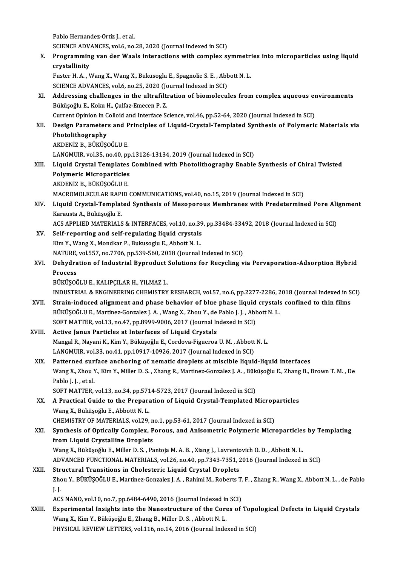Pablo Hernandez-Ortiz J., et al.

SCIENCE ADVANCES, vol.6, no.28, 2020 (Journal Indexed in SCI)

Pablo Hernandez-Ortiz J., et al.<br>SCIENCE ADVANCES, vol.6, no.28, 2020 (Journal Indexed in SCI)<br>X. Programming van der Waals interactions with complex symmetries into microparticles using liquid<br>avvetellinity SCIENCE ADV.<br>Programmin<br>crystallinity<br>Euster H. A. J. Programming van der Waals interactions with complex symmetric<br>rystallinity<br>Fuster H. A. , Wang X., Wang X., Bukusoglu E., Spagnolie S. E. , Abbott N. L.<br>SCIENCE ADVANCES vol.6, no.25, 2020 (Journal Indoved in SCI)

crystallinity<br>Fuster H. A. , Wang X., Wang X., Bukusoglu E., Spagnolie S. E. , Abbott N. L.<br>SCIENCE ADVANCES, vol.6, no.25, 2020 (Journal Indexed in SCI)

Fuster H. A. , Wang X., Wang X., Bukusoglu E., Spagnolie S. E. , Abbott N. L.<br>SCIENCE ADVANCES, vol.6, no.25, 2020 (Journal Indexed in SCI)<br>XI. Addressing challenges in the ultrafiltration of biomolecules from complex aque SCIENCE ADVANCES, vol.6, no.25, 2020 (Jo<br>Addressing challenges in the ultrafilt<br>Büküşoğlu E., Koku H., Çulfaz-Emecen P. Z.<br>Current Opinion in Colloid and Interface S. Addressing challenges in the ultrafiltration of biomolecules from complex aqueous en<br>Büküşoğlu E., Koku H., Çulfaz-Emecen P. Z.<br>Current Opinion in Colloid and Interface Science, vol.46, pp.52-64, 2020 (Journal Indexed in S

Büküşoğlu E., Koku H., Çulfaz-Emecen P. Z.<br>Current Opinion in Colloid and Interface Science, vol.46, pp.52-64, 2020 (Journal Indexed in SCI)<br>XII. Design Parameters and Principles of Liquid-Crystal-Templated Synthesis o **Current Opinion in C**<br>**Design Parameter**<br>Photolithography<br>AKDENiZ P. Püküsc Design Parameters and P<br>Photolithography<br>AKDENİZ B., BÜKÜŞOĞLU E.<br>LANCMUIP vol 25. no.40. nr Photolithography<br>AKDENİZ B., BÜKÜŞOĞLU E.<br>LANGMUIR, vol.35, no.40, pp.13126-13134, 2019 (Journal Indexed in SCI)

AKDENİZ B., BÜKÜŞOĞLU E.<br>LANGMUIR, vol.35, no.40, pp.13126-13134, 2019 (Journal Indexed in SCI)<br>XIII. Liquid Crystal Templates Combined with Photolithography Enable Synthesis of Chiral Twisted<br>Relymeris Misroperticles LANGMUIR, vol.35, no.40, pp<br>Liquid Crystal Templates<br>Polymeric Microparticles<br>AKDENİZ P. PÜKÜSOČLU E Liquid Crystal Templates<br>Polymeric Microparticles<br>AKDENİZ B., BÜKÜŞOĞLU E.<br>MACROMOLECULAR RABID Polymeric Microparticles<br>AKDENİZ B., BÜKÜŞOĞLU E.<br>MACROMOLECULAR RAPID COMMUNICATIONS, vol.40, no.15, 2019 (Journal Indexed in SCI)

AKDENİZ B., BÜKÜŞOĞLU E.<br>MACROMOLECULAR RAPID COMMUNICATIONS, vol.40, no.15, 2019 (Journal Indexed in SCI)<br>XIV. Liquid Crystal-Templated Synthesis of Mesoporous Membranes with Predetermined Pore Alignment<br>Karaysta A. B MACROMOLECULAR RAPI<br>Liquid Crystal-Templat<br>Karausta A., Büküşoğlu E.<br>ACS APPI JED MATERIALS Liquid Crystal-Templated Synthesis of Mesoporous Membranes with Predetermined Pore Ali<br>Karausta A., Büküşoğlu E.<br>ACS APPLIED MATERIALS & INTERFACES, vol.10, no.39, pp.33484-33492, 2018 (Journal Indexed in SCI)<br>Self reperti

- Karausta A., Büküşoğlu E.<br>ACS APPLIED MATERIALS & INTERFACES, vol.10, no.39<br>XV. Self-reporting and self-regulating liquid crystals<br>Kim V. Wang X. Mondkar B. Bukusoglu E. Abbott N. L ACS APPLIED MATERIALS & INTERFACES, vol.10, no.39<br>Self-reporting and self-regulating liquid crystals<br>Kim Y., Wang X., Mondkar P., Bukusoglu E., Abbott N. L.<br>NATUPE vol.557, no.7706, np.529, 560, 2018 (Journal) Self-reporting and self-regulating liquid crystals<br>Kim Y., Wang X., Mondkar P., Bukusoglu E., Abbott N. L.<br>NATURE, vol.557, no.7706, pp.539-560, 2018 (Journal Indexed in SCI)<br>Debydration of Industrial Bunrodust Solutions f
- Kim Y., Wang X., Mondkar P., Bukusoglu E., Abbott N. L.<br>NATURE, vol.557, no.7706, pp.539-560, 2018 (Journal Indexed in SCI)<br>XVI. Dehydration of Industrial Byproduct Solutions for Recycling via Pervaporation-Adsorption NATURE,<br><mark>Dehydra</mark><br>Process<br>Püvüsod Dehydration of Industrial Byproduct<br>Process<br>BÜKÜŞOĞLU E., KALIPÇILAR H., YILMAZ L.<br>INDUSTRIAL & ENCINEERING GUEMISTRY

Process<br>BÜKÜŞOĞLU E., KALIPÇILAR H., YILMAZ L.<br>INDUSTRIAL & ENGINEERING CHEMISTRY RESEARCH, vol.57, no.6, pp.2277-2286, 2018 (Journal Indexed in SCI)

- XVII. Strain-induced alignment and phase behavior of blue phase liquid crystals confined to thin films INDUSTRIAL & ENGINEERING CHEMISTRY RESEARCH, vol.57, no.6, pp.2277-2286, 2<br>Strain-induced alignment and phase behavior of blue phase liquid crystal:<br>BÜKÜŞOĞLU E., Martinez-Gonzalez J. A. , Wang X., Zhou Y., de Pablo J. J. Strain-induced alignment and phase behavior of blue phase liquid<br>BÜKÜŞOĞLU E., Martinez-Gonzalez J. A. , Wang X., Zhou Y., de Pablo J. J. , Abl<br>SOFT MATTER, vol.13, no.47, pp.8999-9006, 2017 (Journal Indexed in SCI)<br>Active BÜKÜŞOĞLU E., Martinez-Gonzalez J. A., Wang X., Zhou Y., de<br>SOFT MATTER, vol.13, no.47, pp.8999-9006, 2017 (Journal Ir<br>XVIII. Active Janus Particles at Interfaces of Liquid Crystals<br>Mangal P. Navani K. Kim V. Bültiseğlu E.
- SOFT MATTER, vol.13, no.47, pp.8999-9006, 2017 (Journal Indexed in SCI)<br>Active Janus Particles at Interfaces of Liquid Crystals<br>Mangal R., Nayani K., Kim Y., Büküşoğlu E., Cordova-Figueroa U. M. , Abbott N. L. LANGMUIR, vol.33, no.41, pp.10917-10926, 2017 (Journal Indexed in SCI)
- XIX. Patterned surface anchoring of nematic droplets atmiscible liquid-liquid interfaces LANGMUIR, vol.33, no.41, pp.10917-10926, 2017 (Journal Indexed in SCI)<br>Patterned surface anchoring of nematic droplets at miscible liquid-liquid interfaces<br>Wang X., Zhou Y., Kim Y., Miller D. S. , Zhang R., Martinez-Gonzal Patterned sur<br>Wang X., Zhou Y<br>Pablo J. J. , et al.<br>SOET MATTED Wang X., Zhou Y., Kim Y., Miller D. S. , Zhang R., Martinez-Gonzalez J. A. , Bük<br>Pablo J. J. , et al.<br>SOFT MATTER, vol.13, no.34, pp.5714-5723, 2017 (Journal Indexed in SCI)<br>A Brastisal Cuide to the Brenaration of Liquid C Pablo J. J. , et al.<br>SOFT MATTER, vol.13, no.34, pp.5714-5723, 2017 (Journal Indexed in SCI)<br>XX. A Practical Guide to the Preparation of Liquid Crystal-Templated Microparticles<br>Wang Y. Büküseğlu E. Abbettt N. J.

SOFT MATTER, vol.13, no.34, pp.571<br>A Practical Guide to the Prepara<br>Wang X., Büküşoğlu E., Abbottt N. L.<br>CHEMISTRY OF MATEPLALS .vol.29 A Practical Guide to the Preparation of Liquid Crystal-Templated Microp<br>Wang X., Büküşoğlu E., Abbottt N. L.<br>CHEMISTRY OF MATERIALS, vol.29, no.1, pp.53-61, 2017 (Journal Indexed in SCI)<br>Synthesis of Ontically Complex, Bor

Wang X., Büküşoğlu E., Abbottt N. L.<br>CHEMISTRY OF MATERIALS, vol.29, no.1, pp.53-61, 2017 (Journal Indexed in SCI)<br>XXI. Synthesis of Optically Complex, Porous, and Anisometric Polymeric Microparticles by Templating<br>fro CHEMISTRY OF MATERIALS, vol.29, n<br>Synthesis of Optically Complex, P<br>from Liquid Crystalline Droplets<br>Wang Y. Bülgisoğlu E. Miller D. S., Ba Synthesis of Optically Complex, Porous, and Anisometric Polymeric Microparticle:<br>from Liquid Crystalline Droplets<br>Wang X., Büküşoğlu E., Miller D.S., Pantoja M.A.B., Xiang J., Lavrentovich O.D., Abbott N.L.<br>ADVANCED EUNCTI from Liquid Crystalline Droplets<br>Wang X., Büküşoğlu E., Miller D. S. , Pantoja M. A. B. , Xiang J., Lavrentovich O. D. , Abbott N. L.<br>ADVANCED FUNCTIONAL MATERIALS, vol.26, no.40, pp.7343-7351, 2016 (Journal Indexed in SCI

Wang X., Büküşoğlu E., Miller D. S., Pantoja M. A. B., Xiang J., Lavrento<br>ADVANCED FUNCTIONAL MATERIALS, vol.26, no.40, pp.7343-7351, 2<br>XXII. Structural Transitions in Cholesteric Liquid Crystal Droplets<br>Zhou V. BÜKÜSOĞLU ADVANCED FUNCTIONAL MATERIALS, vol.26, no.40, pp.7343-7351, 2016 (Journal Indexed in SCI)<br><mark>Structural Transitions in Cholesteric Liquid Crystal Droplets</mark><br>Zhou Y., BÜKÜŞOĞLU E., Martinez-Gonzalez J. A. , Rahimi M., Roberts Structural Transitions in Cholesteric Liquid Crystal Droplets<br>Zhou Y., BÜKÜŞOĞLU E., Martinez-Gonzalez J. A. , Rahimi M., Roberts 7<br>J. J. Zhou Y., BÜKÜŞOĞLU E., Martinez-Gonzalez J. A. , Rahimi M., Roberts T.<br>J. J.<br>ACS NANO, vol.10, no.7, pp.6484-6490, 2016 (Journal Indexed in SCI)<br>Eunonimental Insiskte into the Nanostrusture of the Conse of

ACS NANO, vol.10, no.7, pp.6484-6490, 2016 (Journal Indexed in SCI)

XXIII. Experimental Insights into the Nanostructure of the Cores of Topological Defects in Liquid Crystals<br>Wang X., Kim Y., Büküşoğlu E., Zhang B., Miller D. S., Abbott N. L. PHYSICAL REVIEW LETTERS, vol.116, no.14, 2016 (Journal Indexed in SCI)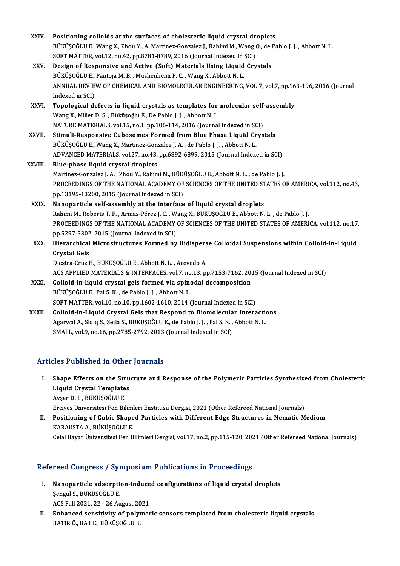| XXIV.        | Positioning colloids at the surfaces of cholesteric liquid crystal droplets                                |
|--------------|------------------------------------------------------------------------------------------------------------|
|              | BÜKÜŞOĞLU E., Wang X., Zhou Y., A. Martinez-Gonzalez J., Rahimi M., Wang Q., de Pablo J. J. , Abbott N. L. |
|              | SOFT MATTER, vol.12, no.42, pp.8781-8789, 2016 (Journal Indexed in SCI)                                    |
| XXV.         | Design of Responsive and Active (Soft) Materials Using Liquid Crystals                                     |
|              | BÜKÜŞOĞLU E., Pantoja M. B., Mushenheim P. C., Wang X., Abbott N. L.                                       |
|              | ANNUAL REVIEW OF CHEMICAL AND BIOMOLECULAR ENGINEERING, VOL 7, vol.7, pp.163-196, 2016 (Journal            |
|              | Indexed in SCI)                                                                                            |
| XXVI.        | Topological defects in liquid crystals as templates for molecular self-assembly                            |
|              | Wang X., Miller D. S., Büküşoğlu E., De Pablo J. J., Abbott N. L.                                          |
|              | NATURE MATERIALS, vol.15, no.1, pp.106-114, 2016 (Journal Indexed in SCI)                                  |
| <b>XXVII</b> | Stimuli-Responsive Cubosomes Formed from Blue Phase Liquid Crystals                                        |
|              | BÜKÜŞOĞLU E., Wang X., Martinez-Gonzalez J. A., de Pablo J. J., Abbott N. L.                               |
|              | ADVANCED MATERIALS, vol.27, no.43, pp.6892-6899, 2015 (Journal Indexed in SCI)                             |
| XXVIII       | Blue-phase liquid crystal droplets                                                                         |
|              | Martinez-Gonzalez J. A., Zhou Y., Rahimi M., BÜKÜŞOĞLU E., Abbott N. L., de Pablo J. J.                    |
|              | PROCEEDINGS OF THE NATIONAL ACADEMY OF SCIENCES OF THE UNITED STATES OF AMERICA, vol.112, no.43,           |
|              | pp.13195-13200, 2015 (Journal Indexed in SCI)                                                              |
| XXIX.        | Nanoparticle self-assembly at the interface of liquid crystal droplets                                     |
|              | Rahimi M., Roberts T. F., Armas-Pérez J. C., Wang X., BÜKÜŞOĞLU E., Abbott N. L., de Pablo J. J.           |
|              | PROCEEDINGS OF THE NATIONAL ACADEMY OF SCIENCES OF THE UNITED STATES OF AMERICA, vol.112, no.17,           |
|              | pp.5297-5302, 2015 (Journal Indexed in SCI)                                                                |
| XXX.         | Hierarchical Microstructures Formed by Bidisperse Colloidal Suspensions within Colloid-in-Liquid           |
|              | <b>Crystal Gels</b>                                                                                        |
|              | Diestra-Cruz H., BÜKÜŞOĞLU E., Abbott N. L., Acevedo A.                                                    |
|              | ACS APPLIED MATERIALS & INTERFACES, vol.7, no.13, pp.7153-7162, 2015 (Journal Indexed in SCI)              |
| <b>XXXI</b>  | Colloid-in-liquid crystal gels formed via spinodal decomposition                                           |
|              | BÜKÜŞOĞLU E., Pal S. K., de Pablo J. J., Abbott N. L.                                                      |
|              | SOFT MATTER, vol.10, no.10, pp.1602-1610, 2014 (Journal Indexed in SCI)                                    |
| <b>XXXII</b> | Colloid-in-Liquid Crystal Gels that Respond to Biomolecular Interactions                                   |
|              | Agarwal A., Sidiq S., Setia S., BÜKÜŞOĞLU E., de Pablo J. J., Pal S. K., Abbott N. L.                      |
|              | SMALL, vol 9, no.16, pp.2785-2792, 2013 (Journal Indexed in SCI)                                           |
|              |                                                                                                            |

## Articles Published in Other Journals

rticles Published in Other Journals<br>I. Shape Effects on the Structure and Response of the Polymeric Particles Synthesized from Cholesteric<br>Liavid Crystal Templates Shape Effects on the Stru<br>Liquid Crystal Templates<br>Avear D. L. Püvüsoğlu F Shape Effects on the Str<br>Liquid Crystal Template<br>Avşar D. I. , BÜKÜŞOĞLU E.<br>Ergiyos Üniversitesi Fen Bil Liquid Crystal Templates<br>Avşar D. I. , BÜKÜŞOĞLU E.<br>Erciyes Üniversitesi Fen Bilimleri Enstitüsü Dergisi, 2021 (Other Refereed National Journals)

Avşar D. I. , BÜKÜŞOĞLU E.<br>Erciyes Üniversitesi Fen Bilimleri Enstitüsü Dergisi, 2021 (Other Refereed National Journals)<br>II. Positioning of Cubic Shaped Particles with Different Edge Structures in Nematic Medium<br>KARAUSTA A Erciyes Üniversitesi Fen Bilim<br>Positioning of Cubic Shape<br>KARAUSTA A., BÜKÜŞOĞLU E.<br>Celal Bayar Üniversitesi Fen B KARAUSTA A., BÜKÜŞOĞLU E.<br>Celal Bayar Üniversitesi Fen Bilimleri Dergisi, vol.17, no.2, pp.115-120, 2021 (Other Refereed National Journals)

## Refereed Congress / Symposium Publications in Proceedings

- efereed Congress / Symposium Publications in Proceedings<br>I. Nanoparticle adsorption-induced configurations of liquid crystal droplets<br>Sengil S. PÜKÜSOĞLU F Sengül Songress 7 Syr.<br>Nanoparticle adsorptic<br>Sengül S., BÜKÜŞOĞLU E. Nanoparticle adsorption-induce<br>Şengül S., BÜKÜŞOĞLU E.<br>ACS Fall 2021, 22 - 26 August 2021<br>Enhansed sensitivity of nolymer ACS Fall 2021, 22 - 26 August 2021
- Şengül S., BÜKÜŞOĞLU E.<br>ACS Fall 2021, 22 26 August 2021<br>II. Enhanced sensitivity of polymeric sensors templated from cholesteric liquid crystals<br>BATIR Ö., BAT E., BÜKÜŞOĞLU E.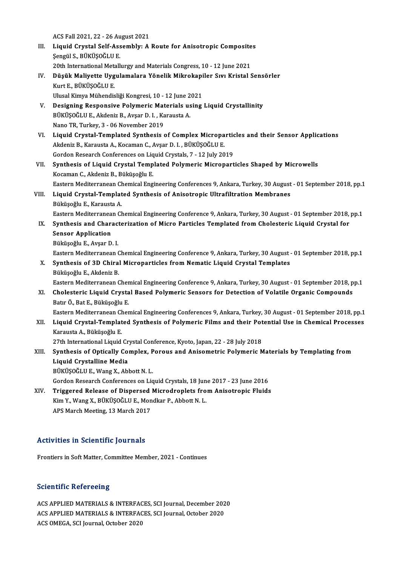ACS Fall 2021, 22 - 26 August 2021<br>Liquid Crystal Solf Assembly: A

- ACS Fall 2021, 22 26 August 2021<br>III. Liquid Crystal Self-Assembly: A Route for Anisotropic Composites<br>Sengül S. BÜltüsOĞLU E ACS Fall 2021, 22 - 26 Au<br>Liquid Crystal Self-Ass<br>Şengül S., BÜKÜŞOĞLU E.<br>20th International Metall Liquid Crystal Self-Assembly: A Route for Anisotropic Composite<br>Şengül S., BÜKÜŞOĞLU E.<br>20th International Metallurgy and Materials Congress, 10 - 12 June 2021<br>Düşük Maliyette Hygulamalara Yönelik Mikrokaniler Syy Kristal Şengül S., BÜKÜŞOĞLU E.<br>20th International Metallurgy and Materials Congress, 10 - 12 June 2021<br>IV. Düşük Maliyette Uygulamalara Yönelik Mikrokapiler Sıvı Kristal Sensörler<br>Kurt F. BÜKÜSOĞLU E
- 20th International Metallurgy and Materials Congress, 10 12 June 2021<br>Düşük Maliyette Uygulamalara Yönelik Mikrokapiler Sıvı Kristal<br>Kurt E., BÜKÜŞOĞLU E. Düşük Maliyette Uygulamalara Yönelik Mikrokapi<br>Kurt E., BÜKÜŞOĞLU E.<br>Ulusal Kimya Mühendisliği Kongresi, 10 - 12 June 2021<br>Dosigning Bosponsiya Bolymaria Materials using Kurt E., BÜKÜŞOĞLU E.<br>Ulusal Kimya Mühendisliği Kongresi, 10 - 12 June 2021<br>V. Designing Responsive Polymeric Materials using Liquid Crystallinity<br>PUKÜSOĞLU E. Akdaniz B. Aysar D. L. Karausta A.
- Ulusal Kimya Mühendisliği Kongresi, 10 12 June 2021<br>Designing Responsive Polymeric Materials using<br>BÜKÜŞOĞLU E., Akdeniz B., Avşar D. I. , Karausta A.<br>Nano TR, Turkey, 3 06 November 2019 Designing Responsive Polymeric Mat<br>BÜKÜŞOĞLU E., Akdeniz B., Avşar D. I. , Ka<br>Nano TR, Turkey, 3 - 06 November 2019<br>Liauid Crustal Termalated Sunthesis BÜKÜŞOĞLU E., Akdeniz B., Avşar D. I. , Karausta A.<br>Nano TR, Turkey, 3 - 06 November 2019<br>VI. Liquid Crystal-Templated Synthesis of Complex Microparticles and their Sensor Applications<br>Akdeniz B. Karausta A. Kasaman G. Avs
- Nano TR, Turkey, 3 06 November 2019<br>Liquid Crystal-Templated Synthesis of Complex Micropa<br>Akdeniz B., Karausta A., Kocaman C., Avşar D. I. , BÜKÜŞOĞLU E.<br>Cordon Pessersh Conferenses on Liquid Crystals 7 12 July 20 Liquid Crystal-Templated Synthesis of Complex Micropartic<br>Akdeniz B., Karausta A., Kocaman C., Avşar D. I. , BÜKÜŞOĞLU E.<br>Gordon Research Conferences on Liquid Crystals, 7 - 12 July 2019<br>Synthesis of Liquid Crystal Templat Akdeniz B., Karausta A., Kocaman C., Avşar D. I. , BÜKÜŞOĞLU E.<br>Gordon Research Conferences on Liquid Crystals, 7 - 12 July 2019<br>VII. Synthesis of Liquid Crystal Templated Polymeric Microparticles Shaped by Microwells<br>Kosa
- Gordon Research Conferences on Liq<br>Synthesis of Liquid Crystal Temp<br>Kocaman C., Akdeniz B., Büküşoğlu E.<br>Festern Mediterranean Chamisal Eng Kocaman C., Akdeniz B., Büküşoğlu E.<br>Eastern Mediterranean Chemical Engineering Conferences 9, Ankara, Turkey, 30 August - 01 September 2018, pp.1 Kocaman C., Akdeniz B., Büküşoğlu E.<br>Eastern Mediterranean Chemical Engineering Conferences 9, Ankara, Turkey, 30 August<br>VIII. Liquid Crystal-Templated Synthesis of Anisotropic Ultrafiltration Membranes

# Eastern Mediterranean Ch<br>Liquid Crystal-Templat<br>Büküşoğlu E., Karausta A.<br>Festern Mediterranean Ch Büküşoğlu E., Karausta A.<br>Eastern Mediterranean Chemical Engineering Conference 9, Ankara, Turkey, 30 August - 01 September 2018, pp.1 Büküşoğlu E., Karausta A.<br>Eastern Mediterranean Chemical Engineering Conference 9, Ankara, Turkey, 30 August - 01 September 2018,<br>IX. Synthesis and Characterization of Micro Particles Templated from Cholesteric Liquid Crys

- Eastern Mediterranea<br>Synthesis and Chara<br>Sensor Application<br>Büküsoğlu E. Avsar D Synthesis and Charact<br>Sensor Application<br>Büküşoğlu E., Avşar D. I.<br>Fastarn Moditarranaan ( Sensor Application<br>Büküşoğlu E., Avşar D. I.<br>Eastern Mediterranean Chemical Engineering Conference 9, Ankara, Turkey, 30 August - 01 September 2018, pp.1<br>Synthosis of 3D Chival Misropartisles from Nematis Liquid Crystal Te
	-

# Büküşoğlu E., Avşar D. I.<br>Eastern Mediterranean Chemical Engineering Conference 9, Ankara, Turkey, 30 August<br>X. Synthesis of 3D Chiral Microparticles from Nematic Liquid Crystal Templates<br>Büküşoğlu E., Akdeniz B. Eastern Mediterranean C<br>Synthesis of 3D Chiral<br>Büküşoğlu E., Akdeniz B.<br>Fastern Mediterranean C Synthesis of 3D Chiral Microparticles from Nematic Liquid Crystal Templates<br>Büküşoğlu E., Akdeniz B.<br>Eastern Mediterranean Chemical Engineering Conference 9, Ankara, Turkey, 30 August - 01 September 2018, pp.1<br>Chelesteris

## XI. Cholesteric Liquid Crystal Based Polymeric Sensors for Detection of Volatile Organic Compounds Eastern Mediterranean Cher<br>Cholesteric Liquid Crysta<br>Batır Ö., Bat E., Büküşoğlu E.<br>Fastern Mediterranean Cher Cholesteric Liquid Crystal Based Polymeric Sensors for Detection of Volatile Organic Compounds<br>Batır Ö., Bat E., Büküşoğlu E.<br>Eastern Mediterranean Chemical Engineering Conferences 9, Ankara, Turkey, 30 August - 01 Septemb

Batır Ö., Bat E., Büküşoğlu E.<br>Eastern Mediterranean Chemical Engineering Conferences 9, Ankara, Turkey, 30 August - 01 September 2018, pp.1<br>XII. Liquid Crystal-Templated Synthesis of Polymeric Films and their Potentia Eastern Mediterranean Ch<br><mark>Liquid Crystal-Templat</mark><br>Karausta A., Büküşoğlu E.<br><sup>27th International Liquid.</sup> Liquid Crystal-Templated Synthesis of Polymeric Films and their Pot<br>Karausta A., Büküşoğlu E.<br>27th International Liquid Crystal Conference, Kyoto, Japan, 22 - 28 July 2018<br>Synthesis of Ontically Compley, Borous and Anisome

# Karausta A., Büküşoğlu E.<br>27th International Liquid Crystal Conference, Kyoto, Japan, 22 - 28 July 2018<br>XIII. Synthesis of Optically Complex, Porous and Anisometric Polymeric Materials by Templating from<br>Liquid Crystalline 27th International Liquid Cr<br>Synthesis of Optically Co<br>Liquid Crystalline Media<br>Pürüsoğlu E. Wana Y. Abl

BÜKÜŞOĞLUE.,WangX.,Abbot N.L.

Gordon Research Conferences on Liquid Crystals, 18 June 2017 - 23 June 2016

XIV. Triggered Release of Dispersed Microdroplets fromAnisotropic Fluids Gordon Research Conferences on Liquid Crystals, 18 Jun<br>Triggered Release of Dispersed Microdroplets fro<br>Kim Y., Wang X., BÜKÜŞOĞLU E., Mondkar P., Abbott N. L.<br>APS March Moeting, 13 March 2017 Triggered Release of Dispersed<br>Kim Y., Wang X., BÜKÜŞOĞLU E., Mon<br>APS March Meeting, 13 March 2017

# APS March Meeting, 13 March 2017<br>**Activities in Scientific Journals**

Frontiers in Soft Matter, Committee Member, 2021 - Continues

## **Scientific Refereeing**

Scientific Refereeing<br>ACS APPLIED MATERIALS & INTERFACES, SCI Journal, December 2020<br>ACS APPLIED MATERIALS & INTERFACES, SCI Journal Ostaber 2020 BETENTIFE RETERTING<br>ACS APPLIED MATERIALS & INTERFACES, SCI Journal, December 202<br>ACS APPLIED MATERIALS & INTERFACES, SCI Journal, October 2020<br>ACS OMECA, SCI Journal, October 2020 ACS APPLIED MATERIALS & INTERFACES, SCI Journal, October 2020<br>ACS OMEGA, SCI Journal, October 2020